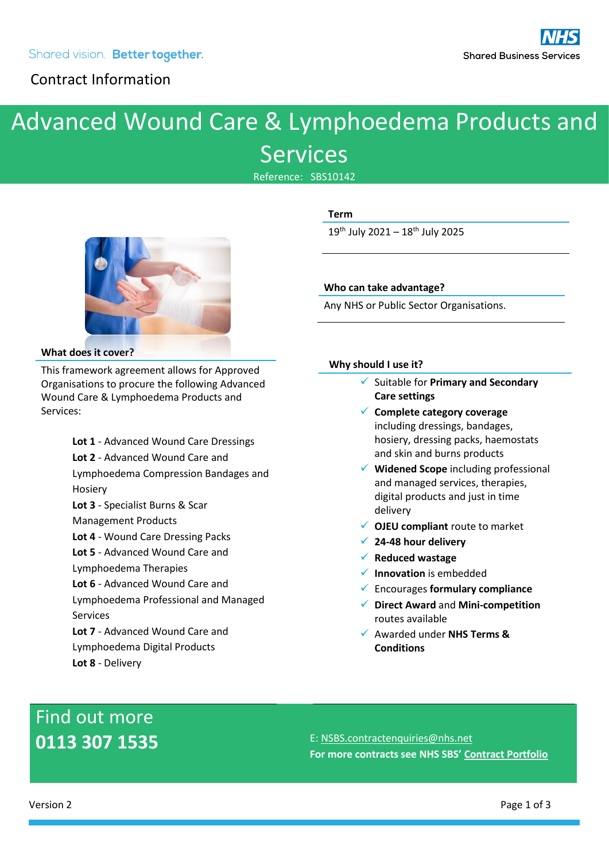### Contract Information

### Advanced Wound Care & Lymphoedema Products and Services

Reference: SBS10142



**Term** 19<sup>th</sup> July 2021 - 18<sup>th</sup> July 2025

#### **Who can take advantage?**

Any NHS or Public Sector Organisations.

#### **What does it cover?**

This framework agreement allows for Approved Organisations to procure the following Advanced Wound Care & Lymphoedema Products and Services:

> **Lot 1** - Advanced Wound Care Dressings **Lot 2** - Advanced Wound Care and Lymphoedema Compression Bandages and Hosiery **Lot 3** - Specialist Burns & Scar Management Products **Lot 4** - Wound Care Dressing Packs **Lot 5** - Advanced Wound Care and Lymphoedema Therapies **Lot 6** - Advanced Wound Care and Lymphoedema Professional and Managed Services **Lot 7** - Advanced Wound Care and Lymphoedema Digital Products

#### **Why should I use it?**

- ✓ Suitable for **Primary and Secondary Care settings**
- ✓ **Complete category coverage** including dressings, bandages, hosiery, dressing packs, haemostats and skin and burns products
- ✓ **Widened Scope** including professional and managed services, therapies, digital products and just in time delivery
- ✓ **OJEU compliant** route to market
- ✓ **24-48 hour delivery**
- ✓ **Reduced wastage**
- ✓ **Innovation** is embedded
- ✓ Encourages **formulary compliance**
- ✓ **Direct Award** and **Mini-competition** routes available
- ✓ Awarded under **NHS Terms & Conditions**

# Find out more

**Lot 8** - Delivery

**0113 307 1535** E: [NSBS.contractenquiries@nhs.net](mailto:NSBS.contractenquiries@nhs.net) **For more contracts see NHS SBS' [Contract Portfolio](https://www.sbs.nhs.uk/proc-framework-agreements-support)**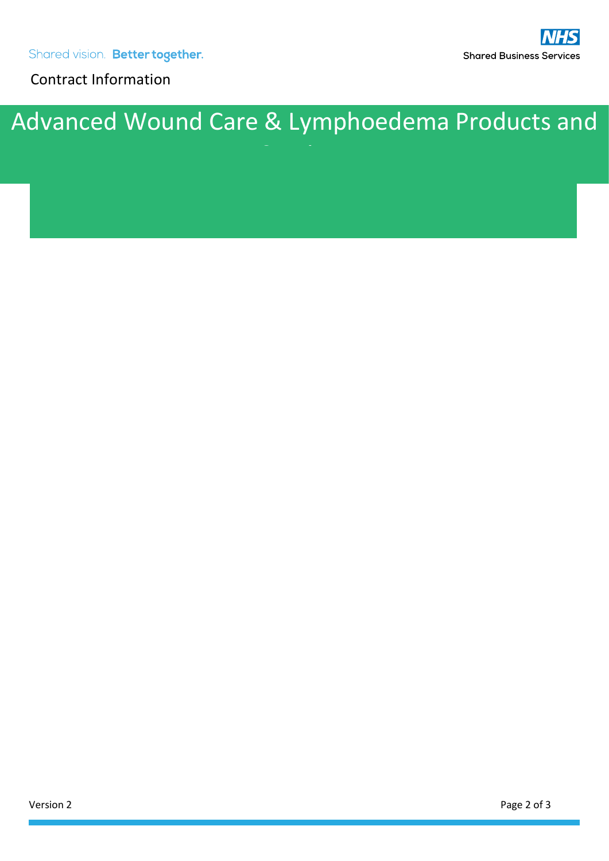Contract Information

# Advanced Wound Care & Lymphoedema Products and